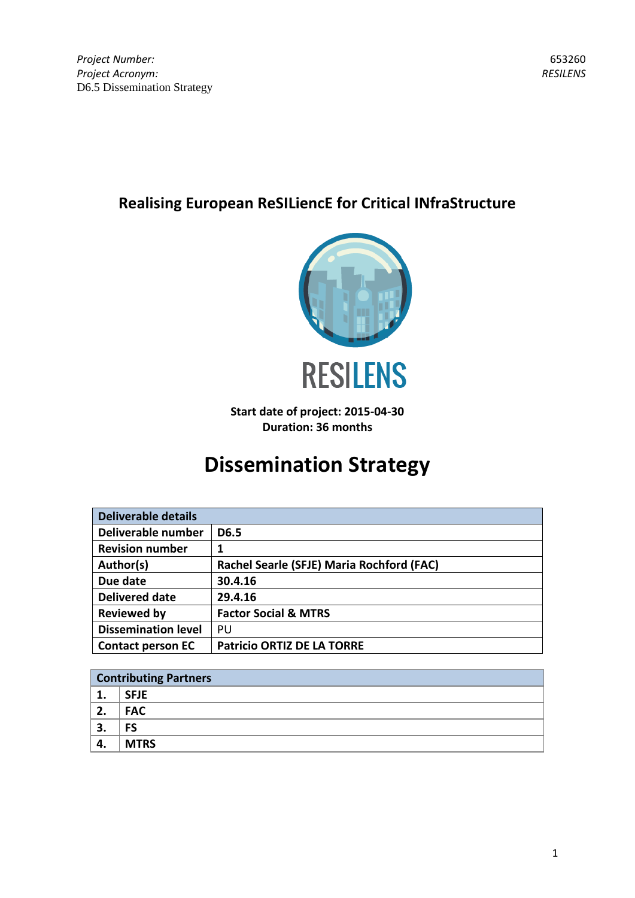# **Realising European ReSILiencE for Critical INfraStructure**



**Start date of project: 2015-04-30 Duration: 36 months**

# **Dissemination Strategy**

| <b>Deliverable details</b> |                                           |  |
|----------------------------|-------------------------------------------|--|
| Deliverable number         | D6.5                                      |  |
| <b>Revision number</b>     | 1                                         |  |
| Author(s)                  | Rachel Searle (SFJE) Maria Rochford (FAC) |  |
| Due date                   | 30.4.16                                   |  |
| <b>Delivered date</b>      | 29.4.16                                   |  |
| <b>Reviewed by</b>         | <b>Factor Social &amp; MTRS</b>           |  |
| <b>Dissemination level</b> | PU                                        |  |
| <b>Contact person EC</b>   | <b>Patricio ORTIZ DE LA TORRE</b>         |  |

|         | <b>Contributing Partners</b> |  |  |  |
|---------|------------------------------|--|--|--|
| ᅩ.      | <b>SFJE</b>                  |  |  |  |
| 2.      | <b>FAC</b>                   |  |  |  |
| э<br>э. | FS                           |  |  |  |
| 4.      | <b>MTRS</b>                  |  |  |  |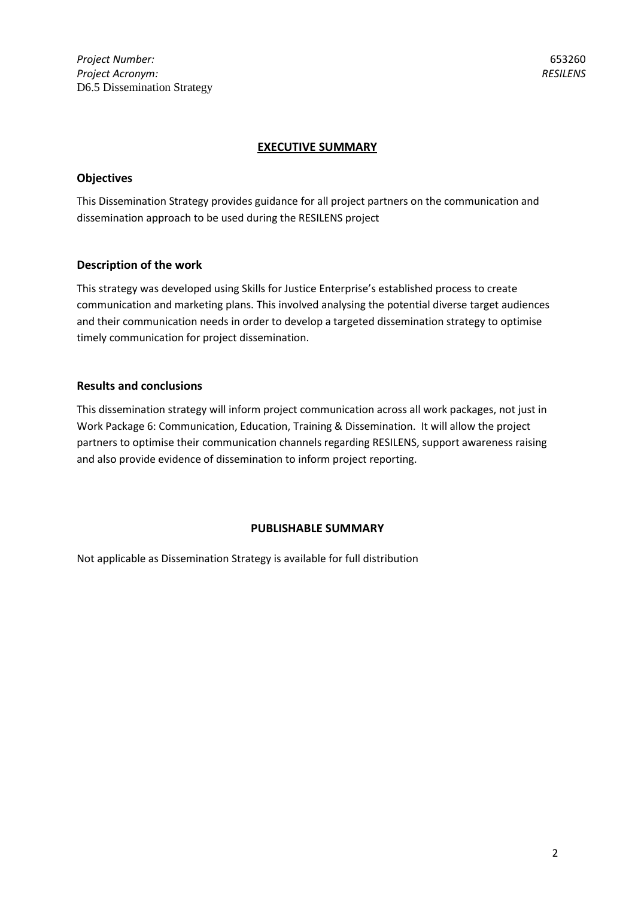*Project Number: Project Acronym:*  D6.5 Dissemination Strategy

## **EXECUTIVE SUMMARY**

## **Objectives**

This Dissemination Strategy provides guidance for all project partners on the communication and dissemination approach to be used during the RESILENS project

## **Description of the work**

This strategy was developed using Skills for Justice Enterprise's established process to create communication and marketing plans. This involved analysing the potential diverse target audiences and their communication needs in order to develop a targeted dissemination strategy to optimise timely communication for project dissemination.

## **Results and conclusions**

This dissemination strategy will inform project communication across all work packages, not just in Work Package 6: Communication, Education, Training & Dissemination. It will allow the project partners to optimise their communication channels regarding RESILENS, support awareness raising and also provide evidence of dissemination to inform project reporting.

#### **PUBLISHABLE SUMMARY**

Not applicable as Dissemination Strategy is available for full distribution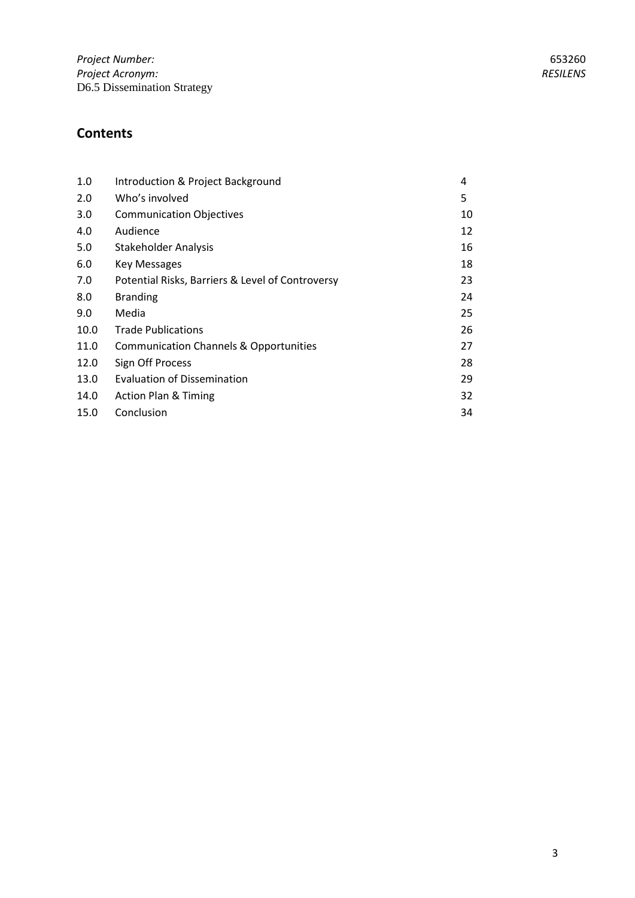| 1.0  | Introduction & Project Background                 | 4  |
|------|---------------------------------------------------|----|
| 2.0  | Who's involved                                    | 5  |
| 3.0  | <b>Communication Objectives</b>                   | 10 |
| 4.0  | Audience                                          | 12 |
| 5.0  | <b>Stakeholder Analysis</b>                       | 16 |
| 6.0  | Key Messages                                      | 18 |
| 7.0  | Potential Risks, Barriers & Level of Controversy  | 23 |
| 8.0  | <b>Branding</b>                                   | 24 |
| 9.0  | Media                                             | 25 |
| 10.0 | <b>Trade Publications</b>                         | 26 |
| 11.0 | <b>Communication Channels &amp; Opportunities</b> | 27 |
| 12.0 | Sign Off Process                                  | 28 |
| 13.0 | <b>Evaluation of Dissemination</b>                | 29 |
| 14.0 | <b>Action Plan &amp; Timing</b>                   | 32 |
| 15.0 | Conclusion                                        | 34 |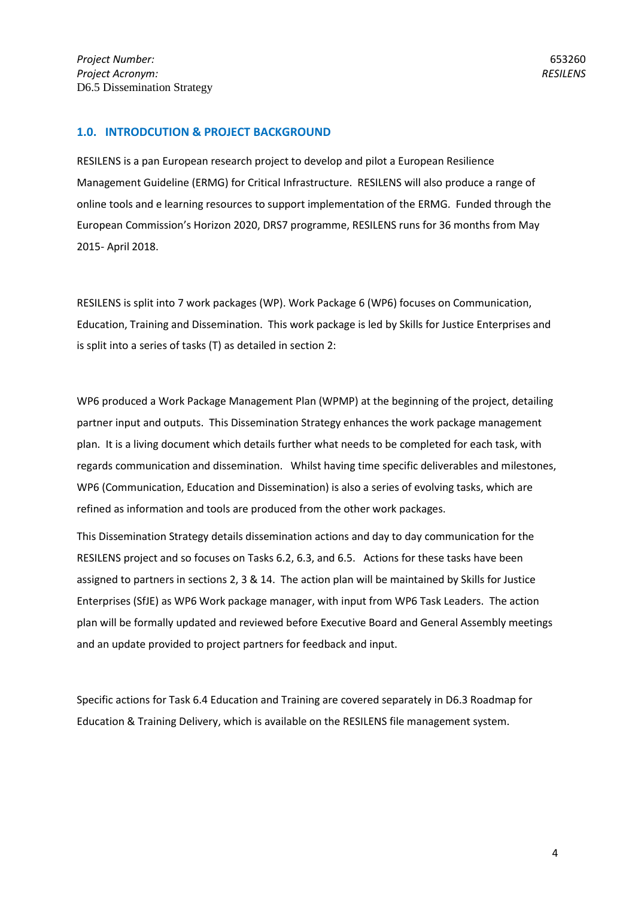## **1.0. INTRODCUTION & PROJECT BACKGROUND**

RESILENS is a pan European research project to develop and pilot a European Resilience Management Guideline (ERMG) for Critical Infrastructure. RESILENS will also produce a range of online tools and e learning resources to support implementation of the ERMG. Funded through the European Commission's Horizon 2020, DRS7 programme, RESILENS runs for 36 months from May 2015- April 2018.

RESILENS is split into 7 work packages (WP). Work Package 6 (WP6) focuses on Communication, Education, Training and Dissemination. This work package is led by Skills for Justice Enterprises and is split into a series of tasks (T) as detailed in section 2:

WP6 produced a Work Package Management Plan (WPMP) at the beginning of the project, detailing partner input and outputs. This Dissemination Strategy enhances the work package management plan. It is a living document which details further what needs to be completed for each task, with regards communication and dissemination. Whilst having time specific deliverables and milestones, WP6 (Communication, Education and Dissemination) is also a series of evolving tasks, which are refined as information and tools are produced from the other work packages.

This Dissemination Strategy details dissemination actions and day to day communication for the RESILENS project and so focuses on Tasks 6.2, 6.3, and 6.5. Actions for these tasks have been assigned to partners in sections 2, 3 & 14. The action plan will be maintained by Skills for Justice Enterprises (SfJE) as WP6 Work package manager, with input from WP6 Task Leaders. The action plan will be formally updated and reviewed before Executive Board and General Assembly meetings and an update provided to project partners for feedback and input.

Specific actions for Task 6.4 Education and Training are covered separately in D6.3 Roadmap for Education & Training Delivery, which is available on the RESILENS file management system.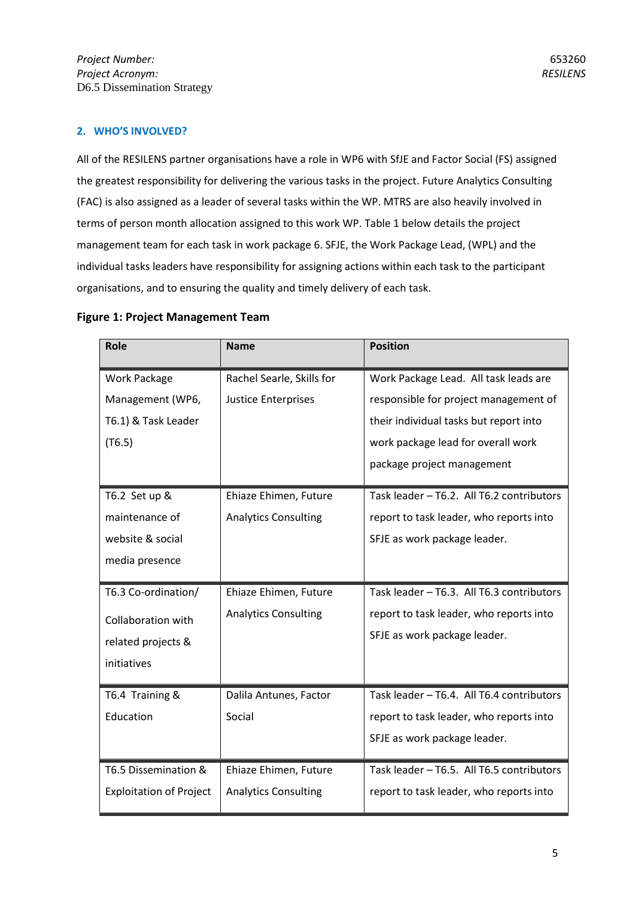## **2. WHO'S INVOLVED?**

All of the RESILENS partner organisations have a role in WP6 with SfJE and Factor Social (FS) assigned the greatest responsibility for delivering the various tasks in the project. Future Analytics Consulting (FAC) is also assigned as a leader of several tasks within the WP. MTRS are also heavily involved in terms of person month allocation assigned to this work WP. Table 1 below details the project management team for each task in work package 6. SFJE, the Work Package Lead, (WPL) and the individual tasks leaders have responsibility for assigning actions within each task to the participant organisations, and to ensuring the quality and timely delivery of each task.

|  |  |  |  | <b>Figure 1: Project Management Team</b> |  |
|--|--|--|--|------------------------------------------|--|
|--|--|--|--|------------------------------------------|--|

| <b>Role</b>                    | <b>Name</b>                 | <b>Position</b>                           |
|--------------------------------|-----------------------------|-------------------------------------------|
| <b>Work Package</b>            | Rachel Searle, Skills for   | Work Package Lead. All task leads are     |
| Management (WP6,               | <b>Justice Enterprises</b>  | responsible for project management of     |
| T6.1) & Task Leader            |                             | their individual tasks but report into    |
| (T6.5)                         |                             | work package lead for overall work        |
|                                |                             | package project management                |
| T6.2 Set up &                  | Ehiaze Ehimen, Future       | Task leader - T6.2. All T6.2 contributors |
| maintenance of                 | <b>Analytics Consulting</b> | report to task leader, who reports into   |
| website & social               |                             | SFJE as work package leader.              |
| media presence                 |                             |                                           |
| T6.3 Co-ordination/            | Ehiaze Ehimen, Future       | Task leader - T6.3. All T6.3 contributors |
| Collaboration with             | <b>Analytics Consulting</b> | report to task leader, who reports into   |
| related projects &             |                             | SFJE as work package leader.              |
| initiatives                    |                             |                                           |
| T6.4 Training &                | Dalila Antunes, Factor      | Task leader - T6.4. All T6.4 contributors |
| Education                      | Social                      | report to task leader, who reports into   |
|                                |                             | SFJE as work package leader.              |
| T6.5 Dissemination &           | Ehiaze Ehimen, Future       | Task leader - T6.5. All T6.5 contributors |
| <b>Exploitation of Project</b> | <b>Analytics Consulting</b> | report to task leader, who reports into   |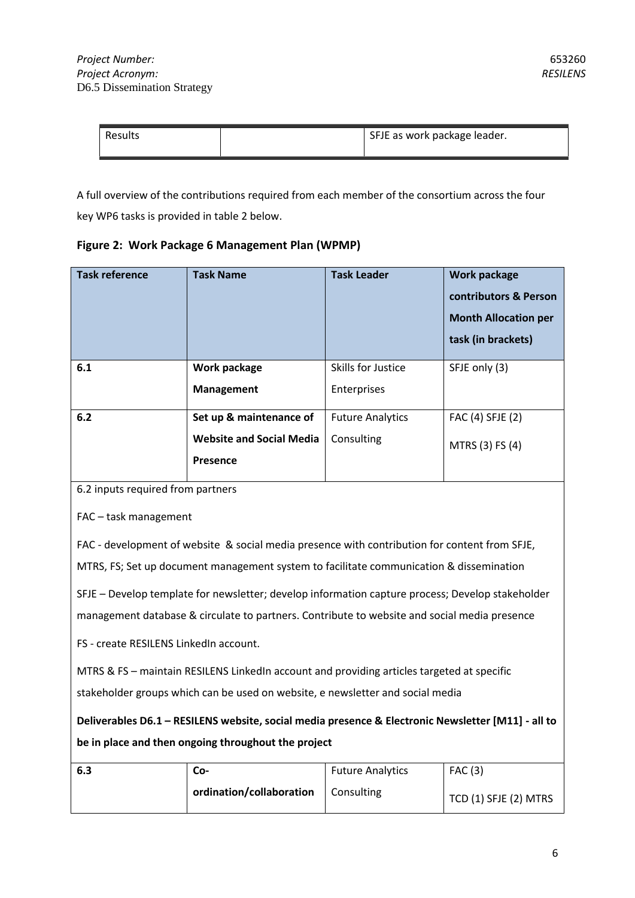| Results | SFJE as work package leader. |
|---------|------------------------------|
|         |                              |

A full overview of the contributions required from each member of the consortium across the four key WP6 tasks is provided in table 2 below.

## **Figure 2: Work Package 6 Management Plan (WPMP)**

| <b>Task reference</b> | <b>Task Name</b>                | <b>Task Leader</b>      | Work package<br>contributors & Person<br><b>Month Allocation per</b><br>task (in brackets) |
|-----------------------|---------------------------------|-------------------------|--------------------------------------------------------------------------------------------|
| 6.1                   | Work package                    | Skills for Justice      | SFJE only (3)                                                                              |
|                       | <b>Management</b>               | Enterprises             |                                                                                            |
| 6.2                   | Set up & maintenance of         | <b>Future Analytics</b> | FAC (4) SFJE (2)                                                                           |
|                       | <b>Website and Social Media</b> | Consulting              | MTRS (3) FS (4)                                                                            |
|                       | Presence                        |                         |                                                                                            |

6.2 inputs required from partners

FAC – task management

FAC - development of website & social media presence with contribution for content from SFJE, MTRS, FS; Set up document management system to facilitate communication & dissemination

SFJE – Develop template for newsletter; develop information capture process; Develop stakeholder management database & circulate to partners. Contribute to website and social media presence

FS - create RESILENS LinkedIn account.

MTRS & FS – maintain RESILENS LinkedIn account and providing articles targeted at specific stakeholder groups which can be used on website, e newsletter and social media

**Deliverables D6.1 – RESILENS website, social media presence & Electronic Newsletter [M11] - all to be in place and then ongoing throughout the project** 

| 6.3 | Co-                                   | <b>Future Analytics</b> | FAC(3)                |
|-----|---------------------------------------|-------------------------|-----------------------|
|     | ordination/collaboration   Consulting |                         | TCD (1) SFJE (2) MTRS |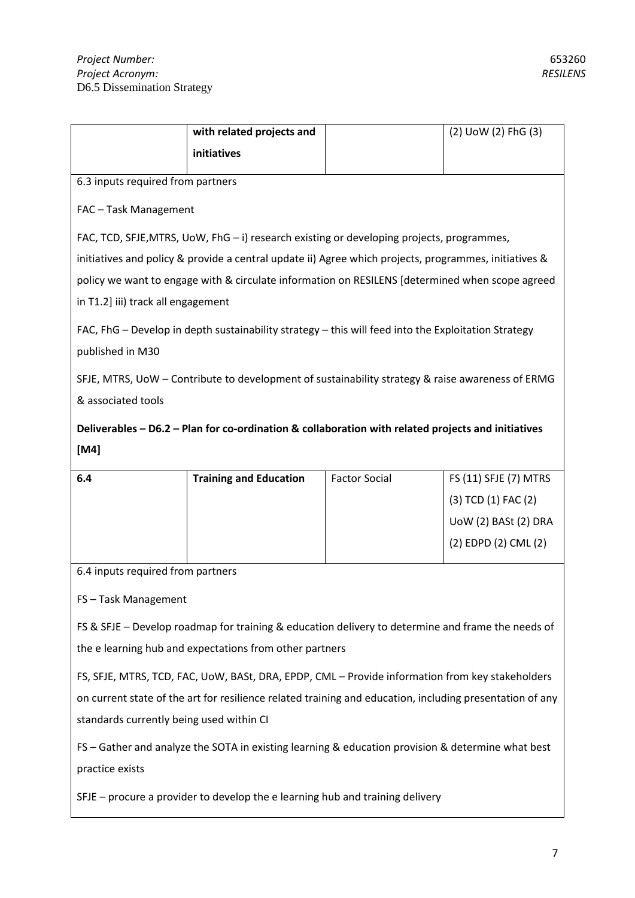|                                                                                                       | with related projects and                                                                                |                      | (2) UoW (2) FhG (3)   |  |  |  |
|-------------------------------------------------------------------------------------------------------|----------------------------------------------------------------------------------------------------------|----------------------|-----------------------|--|--|--|
|                                                                                                       | initiatives                                                                                              |                      |                       |  |  |  |
| 6.3 inputs required from partners                                                                     |                                                                                                          |                      |                       |  |  |  |
| FAC - Task Management                                                                                 |                                                                                                          |                      |                       |  |  |  |
| FAC, TCD, SFJE, MTRS, UoW, FhG $-$ i) research existing or developing projects, programmes,           |                                                                                                          |                      |                       |  |  |  |
| initiatives and policy & provide a central update ii) Agree which projects, programmes, initiatives & |                                                                                                          |                      |                       |  |  |  |
|                                                                                                       | policy we want to engage with & circulate information on RESILENS [determined when scope agreed          |                      |                       |  |  |  |
| in T1.2] iii) track all engagement                                                                    |                                                                                                          |                      |                       |  |  |  |
|                                                                                                       | FAC, FhG - Develop in depth sustainability strategy - this will feed into the Exploitation Strategy      |                      |                       |  |  |  |
| published in M30                                                                                      |                                                                                                          |                      |                       |  |  |  |
|                                                                                                       | SFJE, MTRS, UoW - Contribute to development of sustainability strategy & raise awareness of ERMG         |                      |                       |  |  |  |
| & associated tools                                                                                    |                                                                                                          |                      |                       |  |  |  |
|                                                                                                       |                                                                                                          |                      |                       |  |  |  |
|                                                                                                       | Deliverables - D6.2 - Plan for co-ordination & collaboration with related projects and initiatives       |                      |                       |  |  |  |
| [M4]                                                                                                  |                                                                                                          |                      |                       |  |  |  |
| 6.4                                                                                                   | <b>Training and Education</b>                                                                            | <b>Factor Social</b> | FS (11) SFJE (7) MTRS |  |  |  |
|                                                                                                       |                                                                                                          |                      | (3) TCD (1) FAC (2)   |  |  |  |
|                                                                                                       |                                                                                                          |                      | UoW (2) BASt (2) DRA  |  |  |  |
|                                                                                                       |                                                                                                          |                      | (2) EDPD (2) CML (2)  |  |  |  |
| 6.4 inputs required from partners                                                                     |                                                                                                          |                      |                       |  |  |  |
| FS-Task Management                                                                                    |                                                                                                          |                      |                       |  |  |  |
|                                                                                                       | FS & SFJE - Develop roadmap for training & education delivery to determine and frame the needs of        |                      |                       |  |  |  |
|                                                                                                       | the e learning hub and expectations from other partners                                                  |                      |                       |  |  |  |
|                                                                                                       | FS, SFJE, MTRS, TCD, FAC, UoW, BASt, DRA, EPDP, CML - Provide information from key stakeholders          |                      |                       |  |  |  |
|                                                                                                       | on current state of the art for resilience related training and education, including presentation of any |                      |                       |  |  |  |
| standards currently being used within CI                                                              |                                                                                                          |                      |                       |  |  |  |

FS – Gather and analyze the SOTA in existing learning & education provision & determine what best practice exists

SFJE – procure a provider to develop the e learning hub and training delivery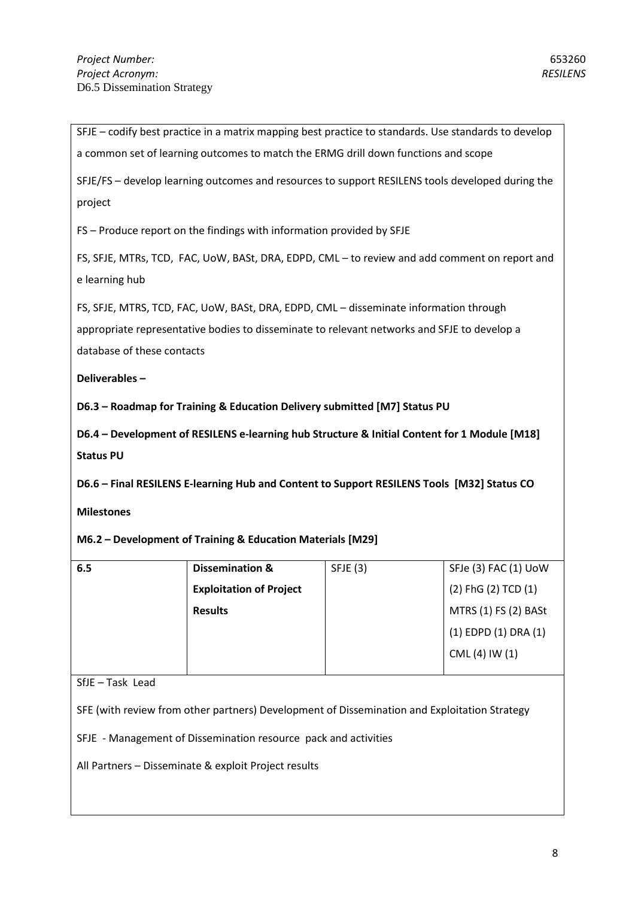|                            |                                                                                                  |          | SFJE - codify best practice in a matrix mapping best practice to standards. Use standards to develop |
|----------------------------|--------------------------------------------------------------------------------------------------|----------|------------------------------------------------------------------------------------------------------|
|                            | a common set of learning outcomes to match the ERMG drill down functions and scope               |          |                                                                                                      |
| project                    | SFJE/FS - develop learning outcomes and resources to support RESILENS tools developed during the |          |                                                                                                      |
|                            | FS - Produce report on the findings with information provided by SFJE                            |          |                                                                                                      |
| e learning hub             | FS, SFJE, MTRs, TCD, FAC, UoW, BASt, DRA, EDPD, CML - to review and add comment on report and    |          |                                                                                                      |
|                            | FS, SFJE, MTRS, TCD, FAC, UoW, BASt, DRA, EDPD, CML - disseminate information through            |          |                                                                                                      |
|                            | appropriate representative bodies to disseminate to relevant networks and SFJE to develop a      |          |                                                                                                      |
| database of these contacts |                                                                                                  |          |                                                                                                      |
| Deliverables-              |                                                                                                  |          |                                                                                                      |
|                            |                                                                                                  |          |                                                                                                      |
|                            | D6.3 - Roadmap for Training & Education Delivery submitted [M7] Status PU                        |          |                                                                                                      |
| <b>Status PU</b>           | D6.4 - Development of RESILENS e-learning hub Structure & Initial Content for 1 Module [M18]     |          |                                                                                                      |
|                            | D6.6 - Final RESILENS E-learning Hub and Content to Support RESILENS Tools [M32] Status CO       |          |                                                                                                      |
| <b>Milestones</b>          |                                                                                                  |          |                                                                                                      |
|                            | M6.2 - Development of Training & Education Materials [M29]                                       |          |                                                                                                      |
| 6.5                        | <b>Dissemination &amp;</b>                                                                       | SFJE (3) | SFJe (3) FAC (1) UoW                                                                                 |
|                            | <b>Exploitation of Project</b>                                                                   |          | (2) FhG (2) TCD (1)                                                                                  |
|                            | <b>Results</b>                                                                                   |          | MTRS (1) FS (2) BASt                                                                                 |

SfJE – Task Lead

SFE (with review from other partners) Development of Dissemination and Exploitation Strategy

SFJE - Management of Dissemination resource pack and activities

All Partners – Disseminate & exploit Project results

CML (4) IW (1)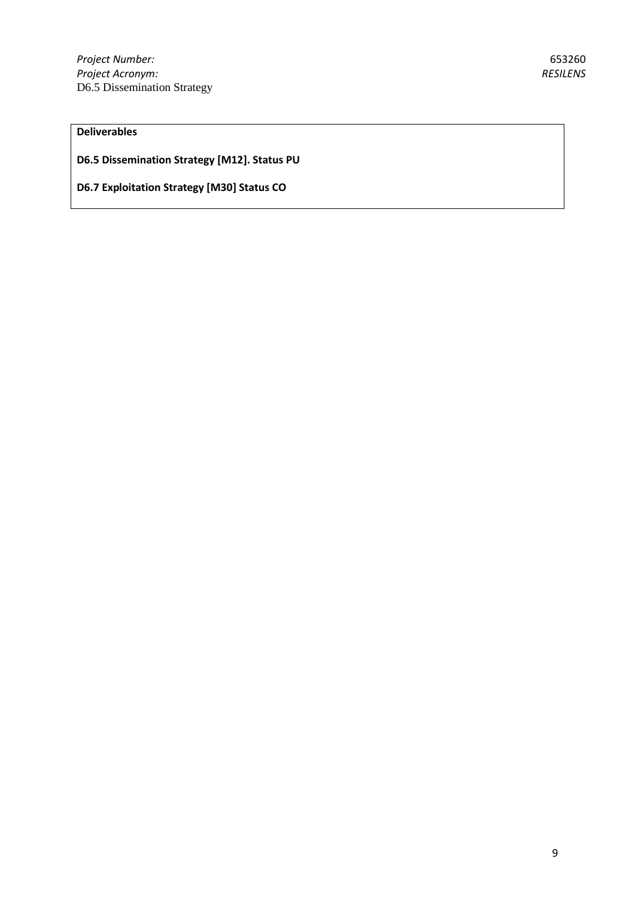**D6.5 Dissemination Strategy [M12]. Status PU**

**D6.7 Exploitation Strategy [M30] Status CO**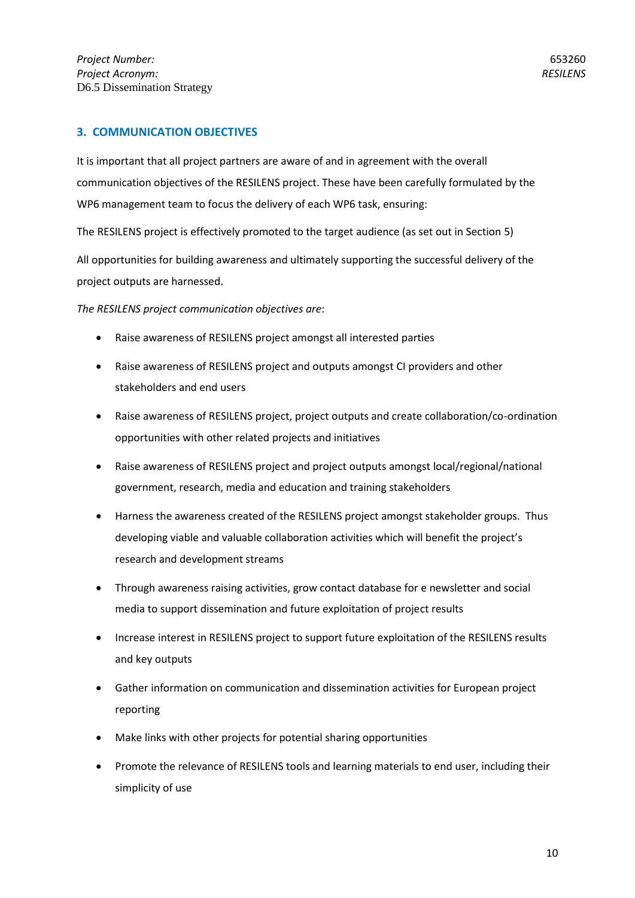## **3. COMMUNICATION OBJECTIVES**

It is important that all project partners are aware of and in agreement with the overall communication objectives of the RESILENS project. These have been carefully formulated by the WP6 management team to focus the delivery of each WP6 task, ensuring:

The RESILENS project is effectively promoted to the target audience (as set out in Section 5)

All opportunities for building awareness and ultimately supporting the successful delivery of the project outputs are harnessed.

*The RESILENS project communication objectives are*:

- Raise awareness of RESILENS project amongst all interested parties
- Raise awareness of RESILENS project and outputs amongst CI providers and other stakeholders and end users
- Raise awareness of RESILENS project, project outputs and create collaboration/co-ordination opportunities with other related projects and initiatives
- Raise awareness of RESILENS project and project outputs amongst local/regional/national government, research, media and education and training stakeholders
- Harness the awareness created of the RESILENS project amongst stakeholder groups. Thus developing viable and valuable collaboration activities which will benefit the project's research and development streams
- Through awareness raising activities, grow contact database for e newsletter and social media to support dissemination and future exploitation of project results
- Increase interest in RESILENS project to support future exploitation of the RESILENS results and key outputs
- Gather information on communication and dissemination activities for European project reporting
- Make links with other projects for potential sharing opportunities
- Promote the relevance of RESILENS tools and learning materials to end user, including their simplicity of use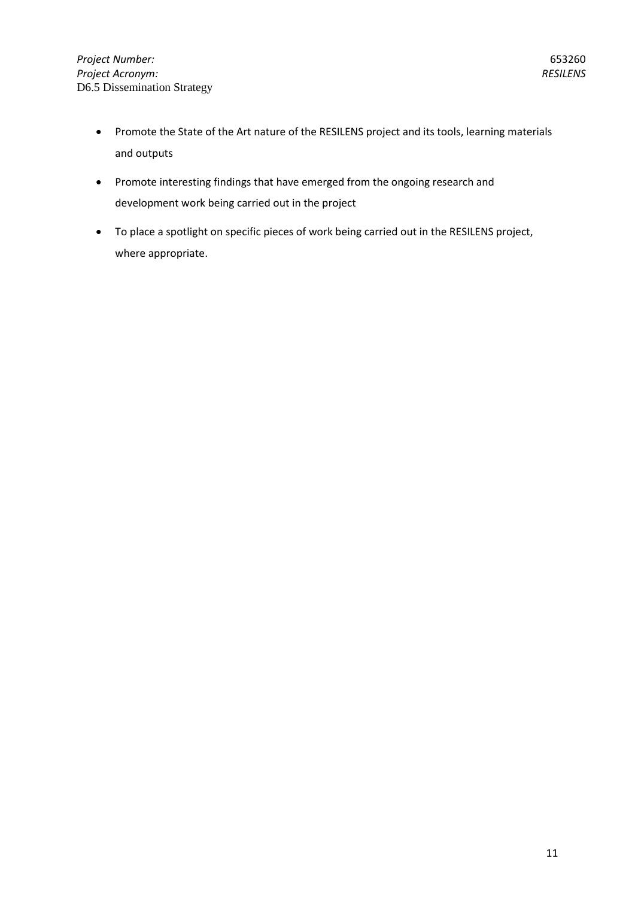- Promote the State of the Art nature of the RESILENS project and its tools, learning materials and outputs
- Promote interesting findings that have emerged from the ongoing research and development work being carried out in the project
- To place a spotlight on specific pieces of work being carried out in the RESILENS project, where appropriate.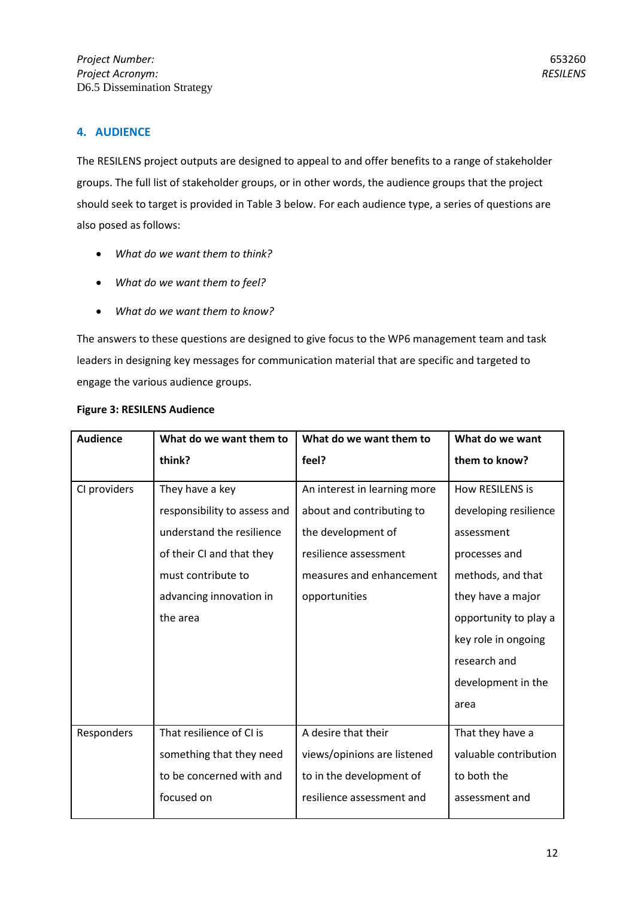The RESILENS project outputs are designed to appeal to and offer benefits to a range of stakeholder groups. The full list of stakeholder groups, or in other words, the audience groups that the project should seek to target is provided in Table 3 below. For each audience type, a series of questions are also posed as follows:

- *What do we want them to think?*
- *What do we want them to feel?*
- *What do we want them to know?*

The answers to these questions are designed to give focus to the WP6 management team and task leaders in designing key messages for communication material that are specific and targeted to engage the various audience groups.

| <b>Audience</b> | What do we want them to      | What do we want them to      | What do we want       |
|-----------------|------------------------------|------------------------------|-----------------------|
|                 | think?                       | feel?                        | them to know?         |
| CI providers    | They have a key              | An interest in learning more | How RESILENS is       |
|                 | responsibility to assess and | about and contributing to    | developing resilience |
|                 | understand the resilience    | the development of           | assessment            |
|                 | of their CI and that they    | resilience assessment        | processes and         |
|                 | must contribute to           | measures and enhancement     | methods, and that     |
|                 | advancing innovation in      | opportunities                | they have a major     |
|                 | the area                     |                              | opportunity to play a |
|                 |                              |                              | key role in ongoing   |
|                 |                              |                              | research and          |
|                 |                              |                              | development in the    |
|                 |                              |                              | area                  |
| Responders      | That resilience of CI is     | A desire that their          | That they have a      |
|                 | something that they need     | views/opinions are listened  | valuable contribution |
|                 | to be concerned with and     | to in the development of     | to both the           |
|                 | focused on                   | resilience assessment and    | assessment and        |

## **Figure 3: RESILENS Audience**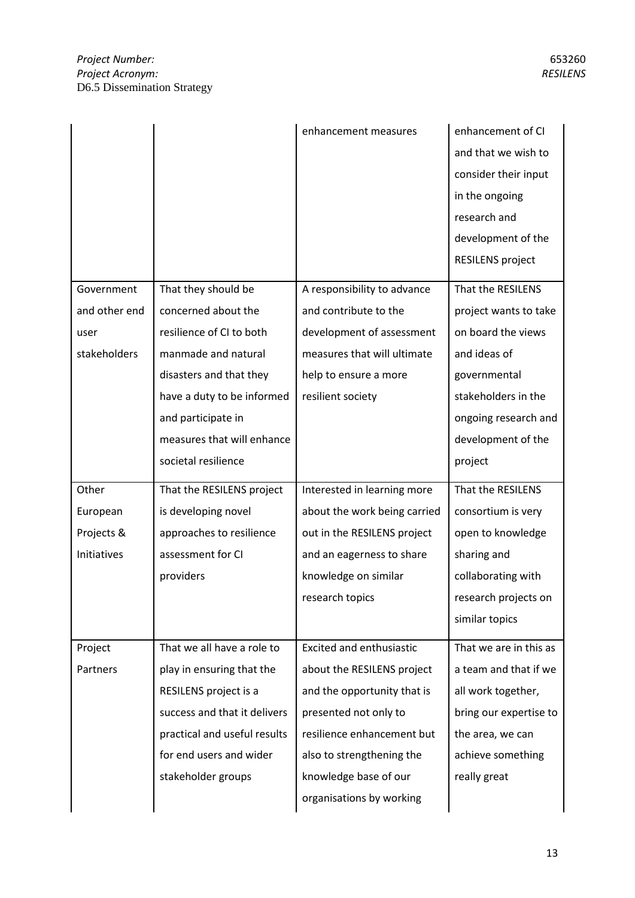|               |                              | enhancement measures            | enhancement of CI<br>and that we wish to<br>consider their input<br>in the ongoing<br>research and<br>development of the |
|---------------|------------------------------|---------------------------------|--------------------------------------------------------------------------------------------------------------------------|
|               |                              |                                 | <b>RESILENS project</b>                                                                                                  |
| Government    | That they should be          | A responsibility to advance     | That the RESILENS                                                                                                        |
| and other end | concerned about the          | and contribute to the           | project wants to take                                                                                                    |
| user          | resilience of CI to both     | development of assessment       | on board the views                                                                                                       |
| stakeholders  | manmade and natural          | measures that will ultimate     | and ideas of                                                                                                             |
|               | disasters and that they      | help to ensure a more           | governmental                                                                                                             |
|               | have a duty to be informed   | resilient society               | stakeholders in the                                                                                                      |
|               | and participate in           |                                 | ongoing research and                                                                                                     |
|               | measures that will enhance   |                                 | development of the                                                                                                       |
|               | societal resilience          |                                 | project                                                                                                                  |
| Other         | That the RESILENS project    | Interested in learning more     | That the RESILENS                                                                                                        |
| European      | is developing novel          | about the work being carried    | consortium is very                                                                                                       |
| Projects &    | approaches to resilience     | out in the RESILENS project     | open to knowledge                                                                                                        |
| Initiatives   | assessment for CI            | and an eagerness to share       | sharing and                                                                                                              |
|               | providers                    | knowledge on similar            | collaborating with                                                                                                       |
|               |                              | research topics                 | research projects on                                                                                                     |
|               |                              |                                 | similar topics                                                                                                           |
|               |                              |                                 |                                                                                                                          |
| Project       | That we all have a role to   | <b>Excited and enthusiastic</b> | That we are in this as                                                                                                   |
| Partners      | play in ensuring that the    | about the RESILENS project      | a team and that if we                                                                                                    |
|               | RESILENS project is a        | and the opportunity that is     | all work together,                                                                                                       |
|               | success and that it delivers | presented not only to           | bring our expertise to                                                                                                   |
|               | practical and useful results | resilience enhancement but      | the area, we can                                                                                                         |
|               | for end users and wider      | also to strengthening the       | achieve something                                                                                                        |
|               | stakeholder groups           | knowledge base of our           | really great                                                                                                             |
|               |                              | organisations by working        |                                                                                                                          |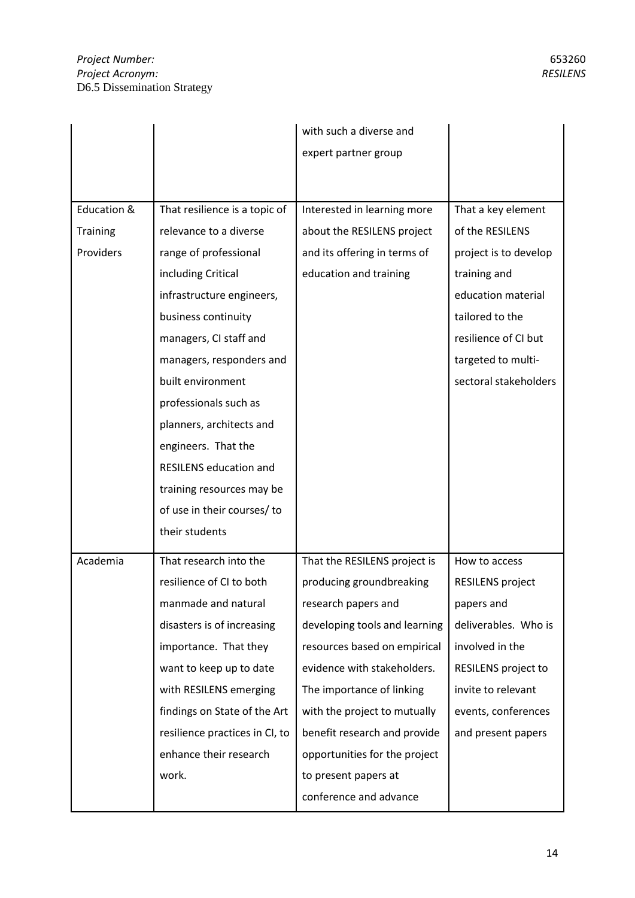|                 |                                | with such a diverse and       |                         |
|-----------------|--------------------------------|-------------------------------|-------------------------|
|                 |                                | expert partner group          |                         |
|                 |                                |                               |                         |
|                 |                                |                               |                         |
| Education &     | That resilience is a topic of  | Interested in learning more   | That a key element      |
| <b>Training</b> | relevance to a diverse         | about the RESILENS project    | of the RESILENS         |
| Providers       | range of professional          | and its offering in terms of  | project is to develop   |
|                 | including Critical             | education and training        | training and            |
|                 | infrastructure engineers,      |                               | education material      |
|                 | business continuity            |                               | tailored to the         |
|                 | managers, CI staff and         |                               | resilience of CI but    |
|                 | managers, responders and       |                               | targeted to multi-      |
|                 | built environment              |                               | sectoral stakeholders   |
|                 | professionals such as          |                               |                         |
|                 | planners, architects and       |                               |                         |
|                 | engineers. That the            |                               |                         |
|                 | <b>RESILENS education and</b>  |                               |                         |
|                 | training resources may be      |                               |                         |
|                 | of use in their courses/ to    |                               |                         |
|                 | their students                 |                               |                         |
| Academia        | That research into the         | That the RESILENS project is  | How to access           |
|                 | resilience of CI to both       | producing groundbreaking      | <b>RESILENS project</b> |
|                 | manmade and natural            | research papers and           | papers and              |
|                 | disasters is of increasing     | developing tools and learning | deliverables. Who is    |
|                 | importance. That they          | resources based on empirical  | involved in the         |
|                 | want to keep up to date        | evidence with stakeholders.   | RESILENS project to     |
|                 | with RESILENS emerging         | The importance of linking     | invite to relevant      |
|                 | findings on State of the Art   | with the project to mutually  | events, conferences     |
|                 | resilience practices in CI, to | benefit research and provide  | and present papers      |
|                 | enhance their research         | opportunities for the project |                         |
|                 | work.                          | to present papers at          |                         |
|                 |                                | conference and advance        |                         |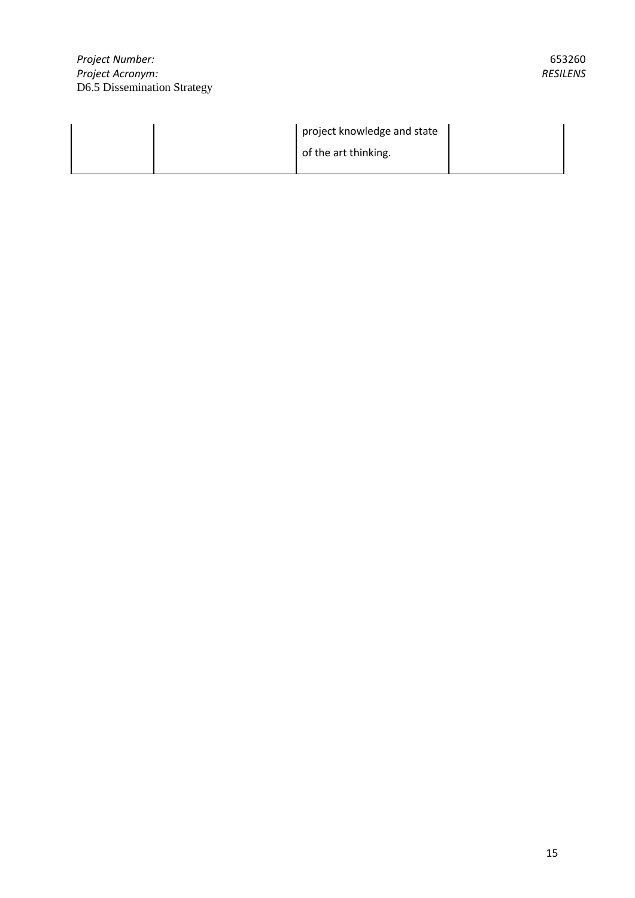|  | project knowledge and state |  |
|--|-----------------------------|--|
|  | of the art thinking.        |  |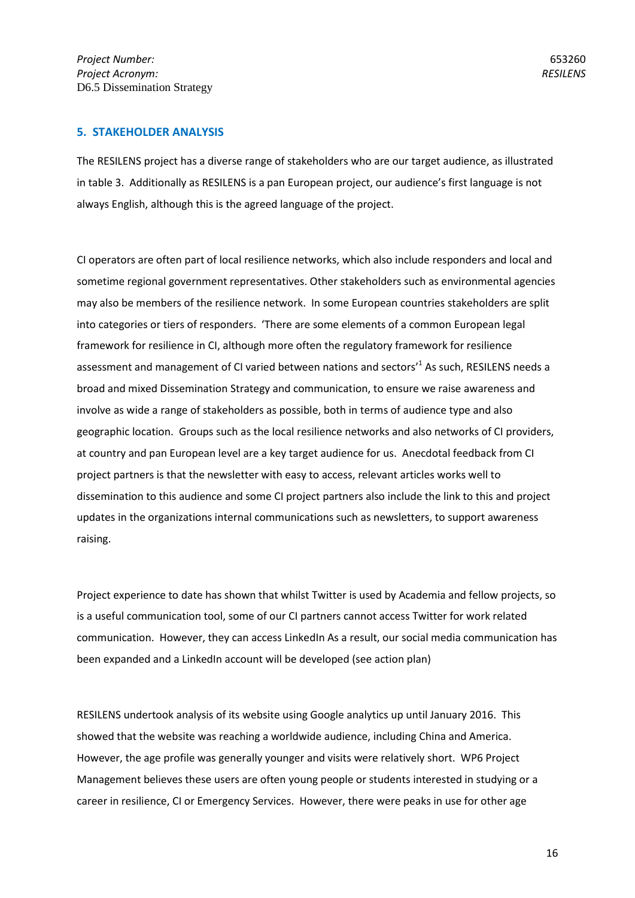#### **5. STAKEHOLDER ANALYSIS**

The RESILENS project has a diverse range of stakeholders who are our target audience, as illustrated in table 3. Additionally as RESILENS is a pan European project, our audience's first language is not always English, although this is the agreed language of the project.

CI operators are often part of local resilience networks, which also include responders and local and sometime regional government representatives. Other stakeholders such as environmental agencies may also be members of the resilience network. In some European countries stakeholders are split into categories or tiers of responders. 'There are some elements of a common European legal framework for resilience in CI, although more often the regulatory framework for resilience assessment and management of CI varied between nations and sectors<sup>1</sup> As such, RESILENS needs a broad and mixed Dissemination Strategy and communication, to ensure we raise awareness and involve as wide a range of stakeholders as possible, both in terms of audience type and also geographic location. Groups such as the local resilience networks and also networks of CI providers, at country and pan European level are a key target audience for us. Anecdotal feedback from CI project partners is that the newsletter with easy to access, relevant articles works well to dissemination to this audience and some CI project partners also include the link to this and project updates in the organizations internal communications such as newsletters, to support awareness raising.

Project experience to date has shown that whilst Twitter is used by Academia and fellow projects, so is a useful communication tool, some of our CI partners cannot access Twitter for work related communication. However, they can access LinkedIn As a result, our social media communication has been expanded and a LinkedIn account will be developed (see action plan)

RESILENS undertook analysis of its website using Google analytics up until January 2016. This showed that the website was reaching a worldwide audience, including China and America. However, the age profile was generally younger and visits were relatively short. WP6 Project Management believes these users are often young people or students interested in studying or a career in resilience, CI or Emergency Services. However, there were peaks in use for other age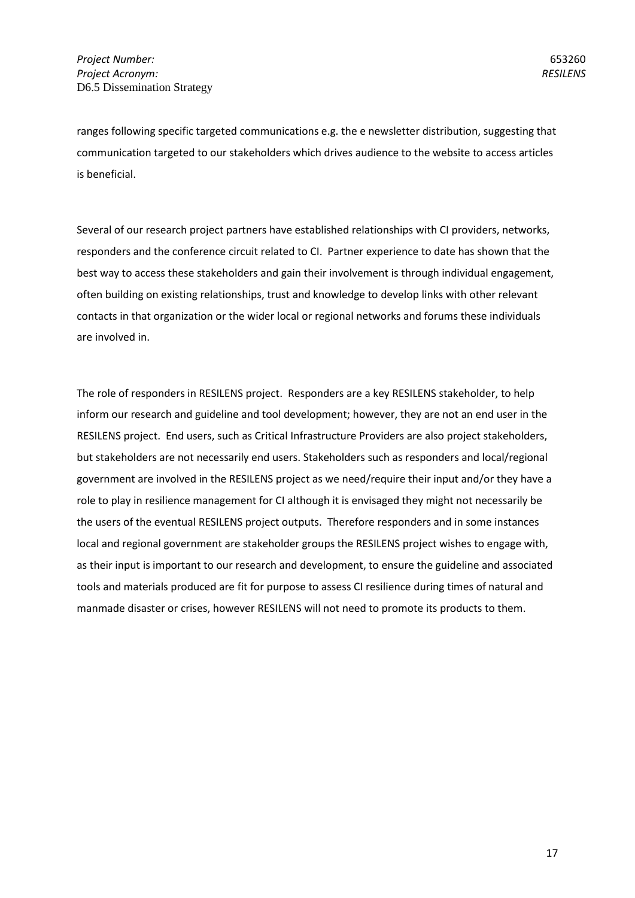ranges following specific targeted communications e.g. the e newsletter distribution, suggesting that communication targeted to our stakeholders which drives audience to the website to access articles is beneficial.

Several of our research project partners have established relationships with CI providers, networks, responders and the conference circuit related to CI. Partner experience to date has shown that the best way to access these stakeholders and gain their involvement is through individual engagement, often building on existing relationships, trust and knowledge to develop links with other relevant contacts in that organization or the wider local or regional networks and forums these individuals are involved in.

The role of responders in RESILENS project. Responders are a key RESILENS stakeholder, to help inform our research and guideline and tool development; however, they are not an end user in the RESILENS project. End users, such as Critical Infrastructure Providers are also project stakeholders, but stakeholders are not necessarily end users. Stakeholders such as responders and local/regional government are involved in the RESILENS project as we need/require their input and/or they have a role to play in resilience management for CI although it is envisaged they might not necessarily be the users of the eventual RESILENS project outputs. Therefore responders and in some instances local and regional government are stakeholder groups the RESILENS project wishes to engage with, as their input is important to our research and development, to ensure the guideline and associated tools and materials produced are fit for purpose to assess CI resilience during times of natural and manmade disaster or crises, however RESILENS will not need to promote its products to them.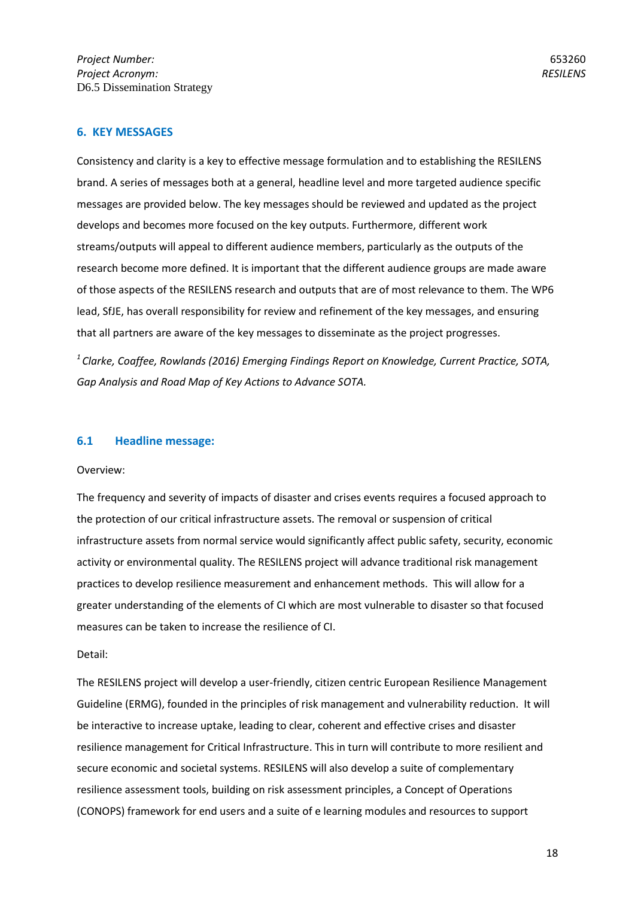#### **6. KEY MESSAGES**

Consistency and clarity is a key to effective message formulation and to establishing the RESILENS brand. A series of messages both at a general, headline level and more targeted audience specific messages are provided below. The key messages should be reviewed and updated as the project develops and becomes more focused on the key outputs. Furthermore, different work streams/outputs will appeal to different audience members, particularly as the outputs of the research become more defined. It is important that the different audience groups are made aware of those aspects of the RESILENS research and outputs that are of most relevance to them. The WP6 lead, SfJE, has overall responsibility for review and refinement of the key messages, and ensuring that all partners are aware of the key messages to disseminate as the project progresses.

*<sup>1</sup>Clarke, Coaffee, Rowlands (2016) Emerging Findings Report on Knowledge, Current Practice, SOTA, Gap Analysis and Road Map of Key Actions to Advance SOTA.*

#### **6.1 Headline message:**

#### Overview:

The frequency and severity of impacts of disaster and crises events requires a focused approach to the protection of our critical infrastructure assets. The removal or suspension of critical infrastructure assets from normal service would significantly affect public safety, security, economic activity or environmental quality. The RESILENS project will advance traditional risk management practices to develop resilience measurement and enhancement methods. This will allow for a greater understanding of the elements of CI which are most vulnerable to disaster so that focused measures can be taken to increase the resilience of CI.

#### Detail:

The RESILENS project will develop a user-friendly, citizen centric European Resilience Management Guideline (ERMG), founded in the principles of risk management and vulnerability reduction. It will be interactive to increase uptake, leading to clear, coherent and effective crises and disaster resilience management for Critical Infrastructure. This in turn will contribute to more resilient and secure economic and societal systems. RESILENS will also develop a suite of complementary resilience assessment tools, building on risk assessment principles, a Concept of Operations (CONOPS) framework for end users and a suite of e learning modules and resources to support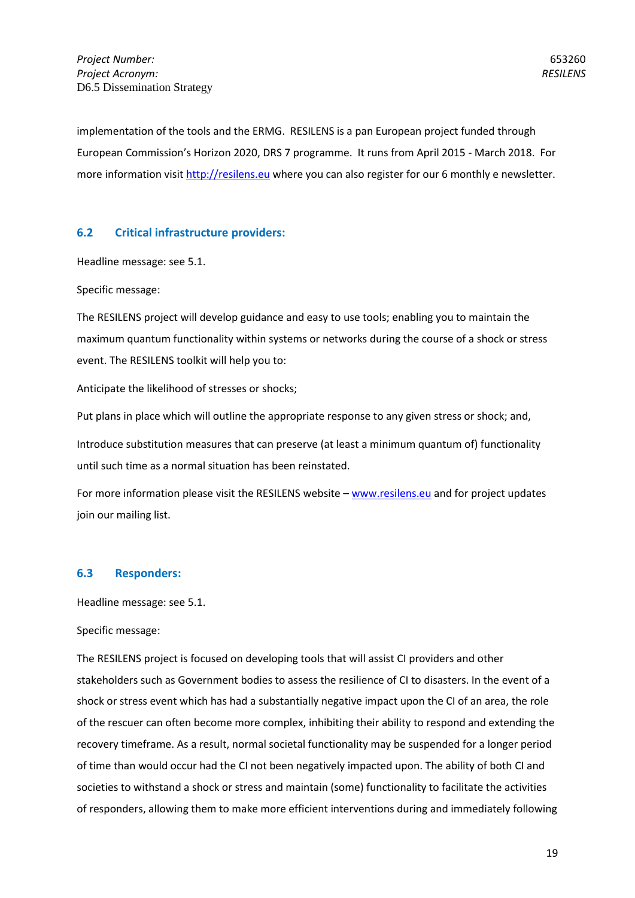653260 *RESILENS*

implementation of the tools and the ERMG. RESILENS is a pan European project funded through European Commission's Horizon 2020, DRS 7 programme. It runs from April 2015 - March 2018. For more information visi[t http://resilens.eu](http://resilens.eu/) where you can also register for our 6 monthly e newsletter.

## **6.2 Critical infrastructure providers:**

Headline message: see 5.1.

Specific message:

The RESILENS project will develop guidance and easy to use tools; enabling you to maintain the maximum quantum functionality within systems or networks during the course of a shock or stress event. The RESILENS toolkit will help you to:

Anticipate the likelihood of stresses or shocks;

Put plans in place which will outline the appropriate response to any given stress or shock; and, Introduce substitution measures that can preserve (at least a minimum quantum of) functionality until such time as a normal situation has been reinstated.

For more information please visit the RESILENS website – [www.resilens.eu](http://www.resilens.eu/) and for project updates join our mailing list.

#### **6.3 Responders:**

Headline message: see 5.1.

#### Specific message:

The RESILENS project is focused on developing tools that will assist CI providers and other stakeholders such as Government bodies to assess the resilience of CI to disasters. In the event of a shock or stress event which has had a substantially negative impact upon the CI of an area, the role of the rescuer can often become more complex, inhibiting their ability to respond and extending the recovery timeframe. As a result, normal societal functionality may be suspended for a longer period of time than would occur had the CI not been negatively impacted upon. The ability of both CI and societies to withstand a shock or stress and maintain (some) functionality to facilitate the activities of responders, allowing them to make more efficient interventions during and immediately following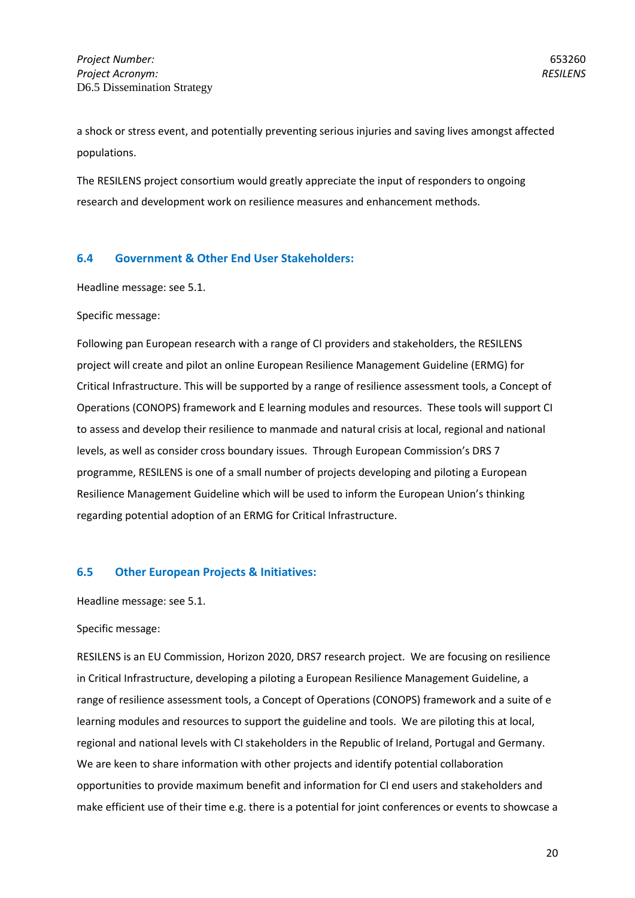a shock or stress event, and potentially preventing serious injuries and saving lives amongst affected populations.

The RESILENS project consortium would greatly appreciate the input of responders to ongoing research and development work on resilience measures and enhancement methods.

## **6.4 Government & Other End User Stakeholders:**

Headline message: see 5.1.

#### Specific message:

Following pan European research with a range of CI providers and stakeholders, the RESILENS project will create and pilot an online European Resilience Management Guideline (ERMG) for Critical Infrastructure. This will be supported by a range of resilience assessment tools, a Concept of Operations (CONOPS) framework and E learning modules and resources. These tools will support CI to assess and develop their resilience to manmade and natural crisis at local, regional and national levels, as well as consider cross boundary issues. Through European Commission's DRS 7 programme, RESILENS is one of a small number of projects developing and piloting a European Resilience Management Guideline which will be used to inform the European Union's thinking regarding potential adoption of an ERMG for Critical Infrastructure.

#### **6.5 Other European Projects & Initiatives:**

Headline message: see 5.1.

#### Specific message:

RESILENS is an EU Commission, Horizon 2020, DRS7 research project. We are focusing on resilience in Critical Infrastructure, developing a piloting a European Resilience Management Guideline, a range of resilience assessment tools, a Concept of Operations (CONOPS) framework and a suite of e learning modules and resources to support the guideline and tools. We are piloting this at local, regional and national levels with CI stakeholders in the Republic of Ireland, Portugal and Germany. We are keen to share information with other projects and identify potential collaboration opportunities to provide maximum benefit and information for CI end users and stakeholders and make efficient use of their time e.g. there is a potential for joint conferences or events to showcase a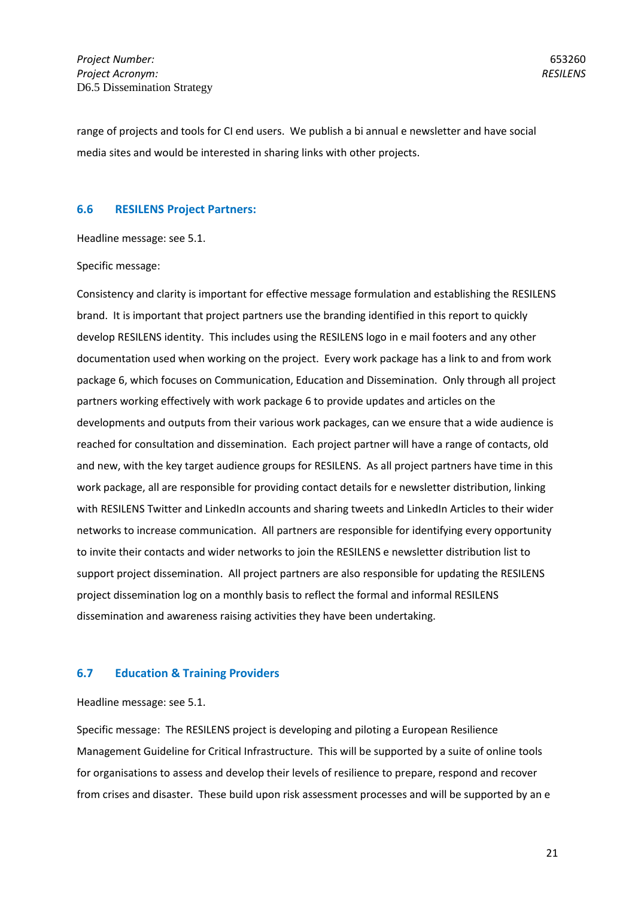653260 *RESILENS*

range of projects and tools for CI end users. We publish a bi annual e newsletter and have social media sites and would be interested in sharing links with other projects.

#### **6.6 RESILENS Project Partners:**

Headline message: see 5.1.

Specific message:

Consistency and clarity is important for effective message formulation and establishing the RESILENS brand. It is important that project partners use the branding identified in this report to quickly develop RESILENS identity. This includes using the RESILENS logo in e mail footers and any other documentation used when working on the project. Every work package has a link to and from work package 6, which focuses on Communication, Education and Dissemination. Only through all project partners working effectively with work package 6 to provide updates and articles on the developments and outputs from their various work packages, can we ensure that a wide audience is reached for consultation and dissemination. Each project partner will have a range of contacts, old and new, with the key target audience groups for RESILENS. As all project partners have time in this work package, all are responsible for providing contact details for e newsletter distribution, linking with RESILENS Twitter and LinkedIn accounts and sharing tweets and LinkedIn Articles to their wider networks to increase communication. All partners are responsible for identifying every opportunity to invite their contacts and wider networks to join the RESILENS e newsletter distribution list to support project dissemination. All project partners are also responsible for updating the RESILENS project dissemination log on a monthly basis to reflect the formal and informal RESILENS dissemination and awareness raising activities they have been undertaking.

#### **6.7 Education & Training Providers**

Headline message: see 5.1.

Specific message: The RESILENS project is developing and piloting a European Resilience Management Guideline for Critical Infrastructure. This will be supported by a suite of online tools for organisations to assess and develop their levels of resilience to prepare, respond and recover from crises and disaster. These build upon risk assessment processes and will be supported by an e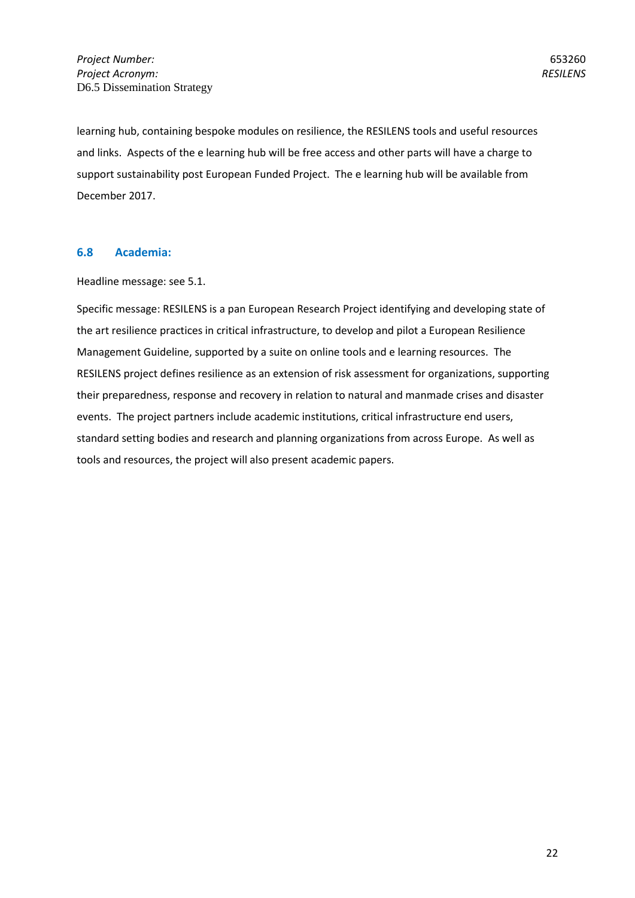learning hub, containing bespoke modules on resilience, the RESILENS tools and useful resources and links. Aspects of the e learning hub will be free access and other parts will have a charge to support sustainability post European Funded Project. The e learning hub will be available from December 2017.

## **6.8 Academia:**

Headline message: see 5.1.

Specific message: RESILENS is a pan European Research Project identifying and developing state of the art resilience practices in critical infrastructure, to develop and pilot a European Resilience Management Guideline, supported by a suite on online tools and e learning resources. The RESILENS project defines resilience as an extension of risk assessment for organizations, supporting their preparedness, response and recovery in relation to natural and manmade crises and disaster events. The project partners include academic institutions, critical infrastructure end users, standard setting bodies and research and planning organizations from across Europe. As well as tools and resources, the project will also present academic papers.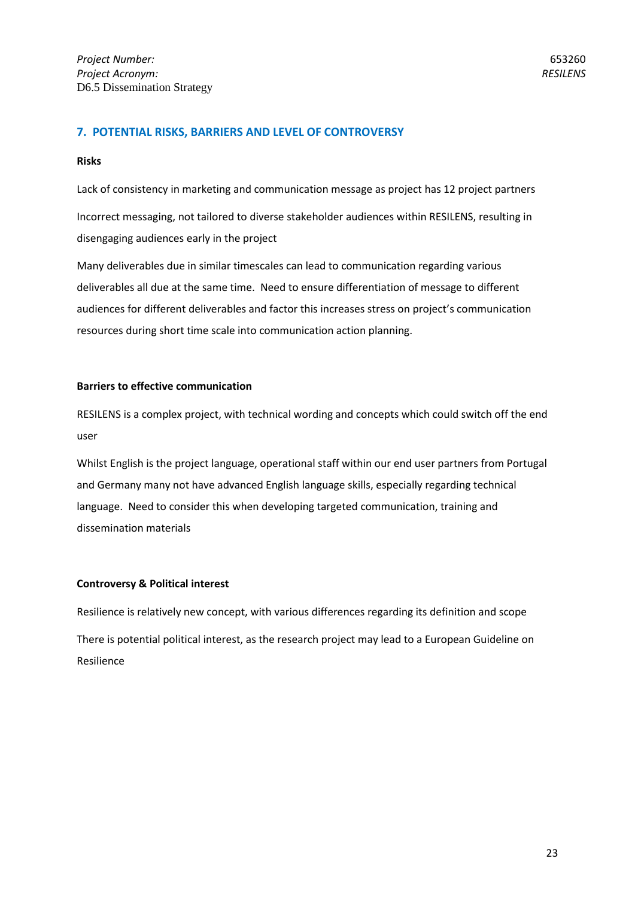## **7. POTENTIAL RISKS, BARRIERS AND LEVEL OF CONTROVERSY**

#### **Risks**

Lack of consistency in marketing and communication message as project has 12 project partners Incorrect messaging, not tailored to diverse stakeholder audiences within RESILENS, resulting in disengaging audiences early in the project

Many deliverables due in similar timescales can lead to communication regarding various deliverables all due at the same time. Need to ensure differentiation of message to different audiences for different deliverables and factor this increases stress on project's communication resources during short time scale into communication action planning.

#### **Barriers to effective communication**

RESILENS is a complex project, with technical wording and concepts which could switch off the end user

Whilst English is the project language, operational staff within our end user partners from Portugal and Germany many not have advanced English language skills, especially regarding technical language. Need to consider this when developing targeted communication, training and dissemination materials

#### **Controversy & Political interest**

Resilience is relatively new concept, with various differences regarding its definition and scope There is potential political interest, as the research project may lead to a European Guideline on Resilience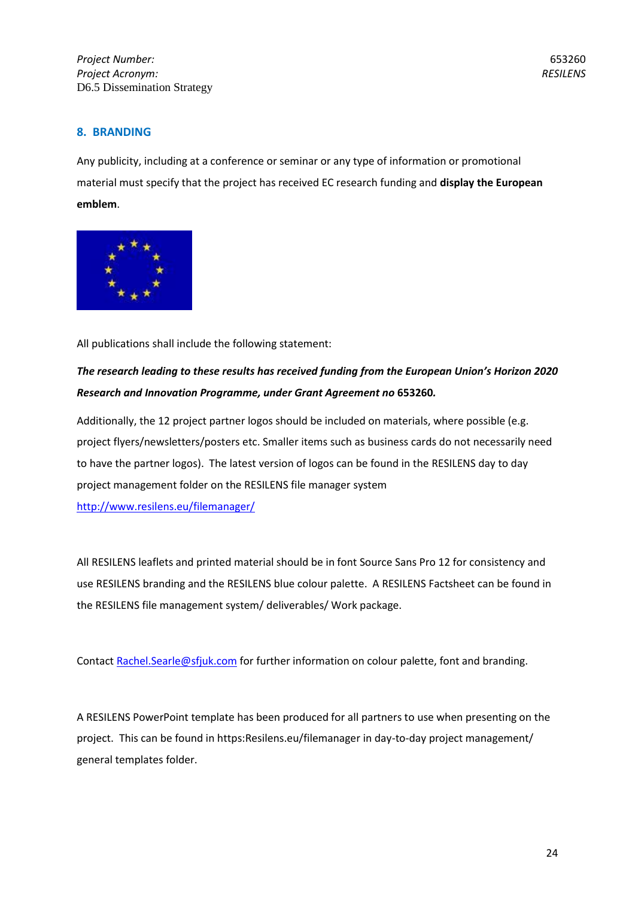## **8. BRANDING**

Any publicity, including at a conference or seminar or any type of information or promotional material must specify that the project has received EC research funding and **display the European emblem**.



All publications shall include the following statement:

## *The research leading to these results has received funding from the European Union's Horizon 2020 Research and Innovation Programme, under Grant Agreement no* **653260***.*

Additionally, the 12 project partner logos should be included on materials, where possible (e.g. project flyers/newsletters/posters etc. Smaller items such as business cards do not necessarily need to have the partner logos). The latest version of logos can be found in the RESILENS day to day project management folder on the RESILENS file manager system <http://www.resilens.eu/filemanager/>

All RESILENS leaflets and printed material should be in font Source Sans Pro 12 for consistency and use RESILENS branding and the RESILENS blue colour palette. A RESILENS Factsheet can be found in the RESILENS file management system/ deliverables/ Work package.

Contact [Rachel.Searle@sfjuk.com](mailto:Rachel.Searle@sfjuk.com) for further information on colour palette, font and branding.

A RESILENS PowerPoint template has been produced for all partners to use when presenting on the project. This can be found in https:Resilens.eu/filemanager in day-to-day project management/ general templates folder.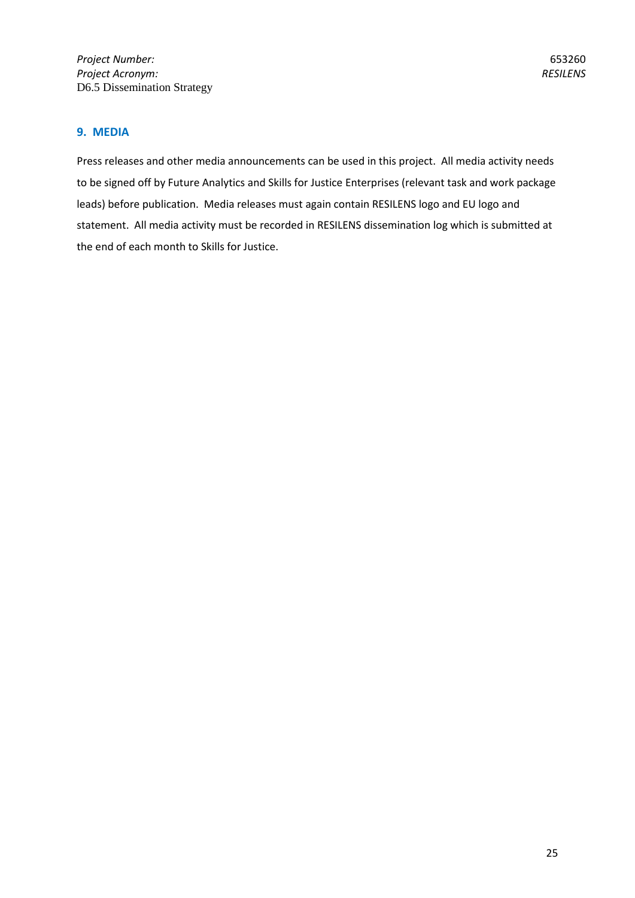## **9. MEDIA**

Press releases and other media announcements can be used in this project. All media activity needs to be signed off by Future Analytics and Skills for Justice Enterprises (relevant task and work package leads) before publication. Media releases must again contain RESILENS logo and EU logo and statement. All media activity must be recorded in RESILENS dissemination log which is submitted at the end of each month to Skills for Justice.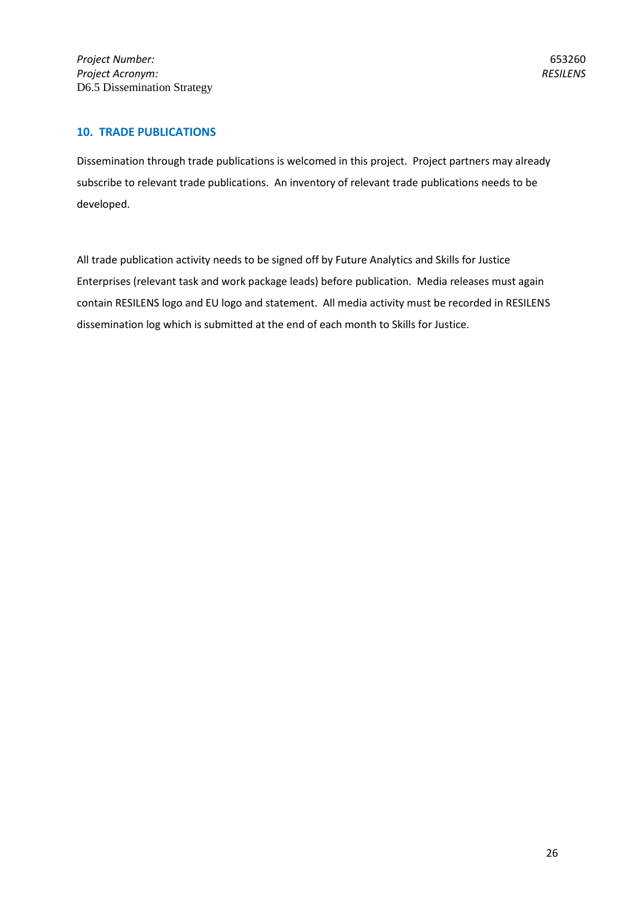## **10. TRADE PUBLICATIONS**

Dissemination through trade publications is welcomed in this project. Project partners may already subscribe to relevant trade publications. An inventory of relevant trade publications needs to be developed.

All trade publication activity needs to be signed off by Future Analytics and Skills for Justice Enterprises (relevant task and work package leads) before publication. Media releases must again contain RESILENS logo and EU logo and statement. All media activity must be recorded in RESILENS dissemination log which is submitted at the end of each month to Skills for Justice.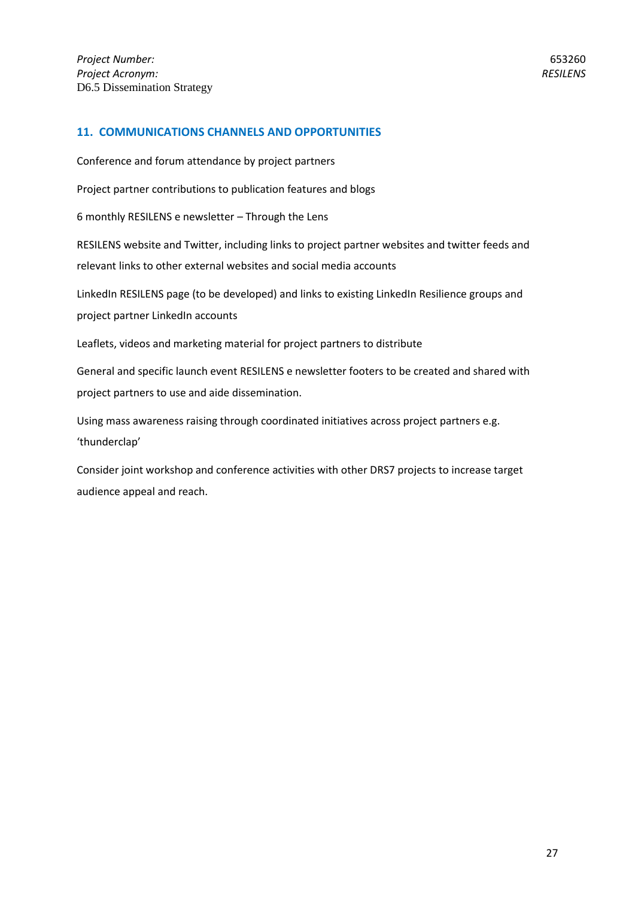## **11. COMMUNICATIONS CHANNELS AND OPPORTUNITIES**

Conference and forum attendance by project partners

Project partner contributions to publication features and blogs

6 monthly RESILENS e newsletter – Through the Lens

RESILENS website and Twitter, including links to project partner websites and twitter feeds and relevant links to other external websites and social media accounts

LinkedIn RESILENS page (to be developed) and links to existing LinkedIn Resilience groups and project partner LinkedIn accounts

Leaflets, videos and marketing material for project partners to distribute

General and specific launch event RESILENS e newsletter footers to be created and shared with project partners to use and aide dissemination.

Using mass awareness raising through coordinated initiatives across project partners e.g. 'thunderclap'

Consider joint workshop and conference activities with other DRS7 projects to increase target audience appeal and reach.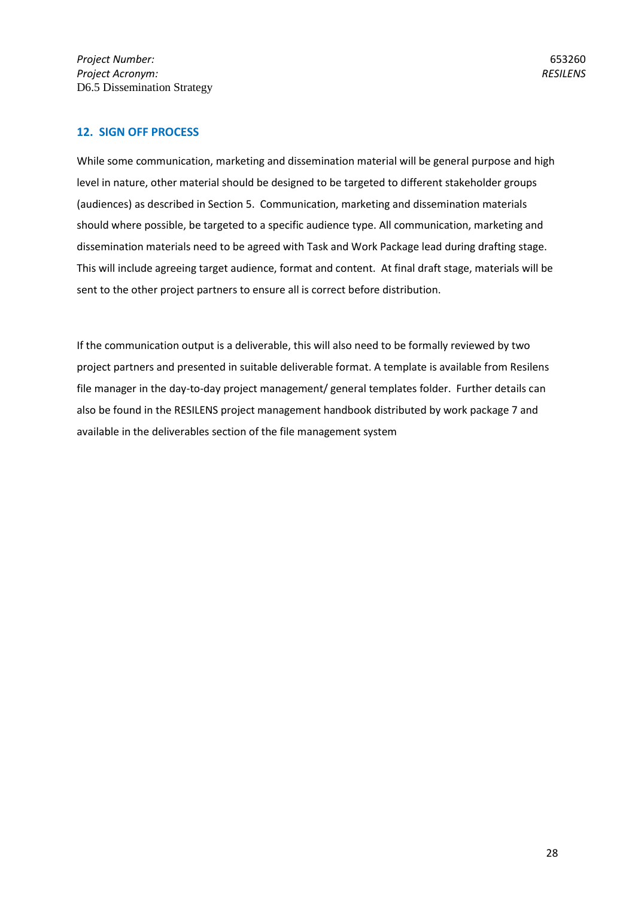## **12. SIGN OFF PROCESS**

While some communication, marketing and dissemination material will be general purpose and high level in nature, other material should be designed to be targeted to different stakeholder groups (audiences) as described in Section 5. Communication, marketing and dissemination materials should where possible, be targeted to a specific audience type. All communication, marketing and dissemination materials need to be agreed with Task and Work Package lead during drafting stage. This will include agreeing target audience, format and content. At final draft stage, materials will be sent to the other project partners to ensure all is correct before distribution.

If the communication output is a deliverable, this will also need to be formally reviewed by two project partners and presented in suitable deliverable format. A template is available from Resilens file manager in the day-to-day project management/ general templates folder. Further details can also be found in the RESILENS project management handbook distributed by work package 7 and available in the deliverables section of the file management system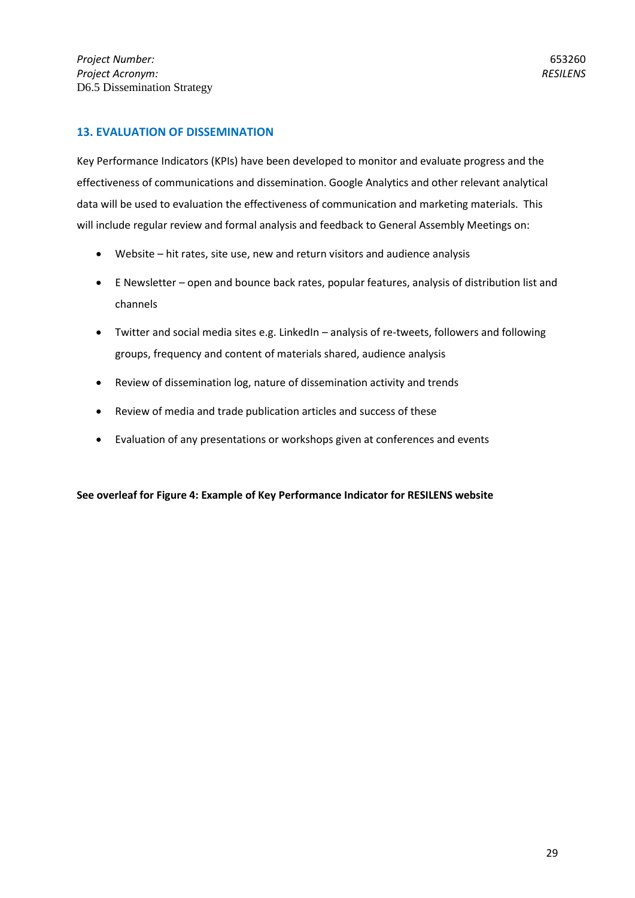## **13. EVALUATION OF DISSEMINATION**

Key Performance Indicators (KPIs) have been developed to monitor and evaluate progress and the effectiveness of communications and dissemination. Google Analytics and other relevant analytical data will be used to evaluation the effectiveness of communication and marketing materials. This will include regular review and formal analysis and feedback to General Assembly Meetings on:

- Website hit rates, site use, new and return visitors and audience analysis
- E Newsletter open and bounce back rates, popular features, analysis of distribution list and channels
- Twitter and social media sites e.g. LinkedIn analysis of re-tweets, followers and following groups, frequency and content of materials shared, audience analysis
- Review of dissemination log, nature of dissemination activity and trends
- Review of media and trade publication articles and success of these
- Evaluation of any presentations or workshops given at conferences and events

**See overleaf for Figure 4: Example of Key Performance Indicator for RESILENS website**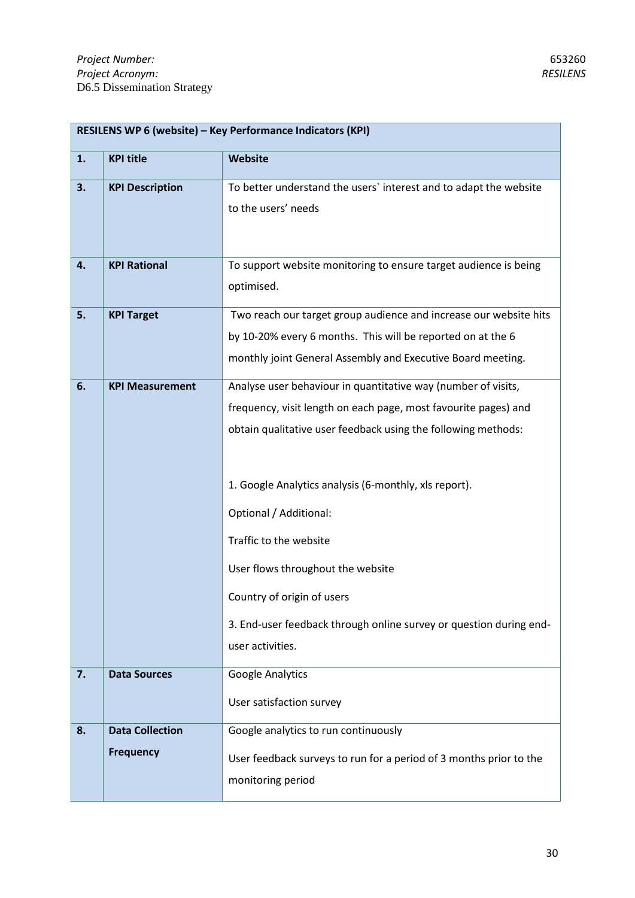| RESILENS WP 6 (website) - Key Performance Indicators (KPI) |                                                                    |  |
|------------------------------------------------------------|--------------------------------------------------------------------|--|
| <b>KPI title</b>                                           | Website                                                            |  |
| <b>KPI Description</b>                                     | To better understand the users' interest and to adapt the website  |  |
|                                                            | to the users' needs                                                |  |
|                                                            |                                                                    |  |
| <b>KPI Rational</b>                                        | To support website monitoring to ensure target audience is being   |  |
|                                                            | optimised.                                                         |  |
| <b>KPI Target</b>                                          | Two reach our target group audience and increase our website hits  |  |
|                                                            | by 10-20% every 6 months. This will be reported on at the 6        |  |
|                                                            | monthly joint General Assembly and Executive Board meeting.        |  |
| <b>KPI Measurement</b>                                     | Analyse user behaviour in quantitative way (number of visits,      |  |
|                                                            | frequency, visit length on each page, most favourite pages) and    |  |
|                                                            | obtain qualitative user feedback using the following methods:      |  |
|                                                            |                                                                    |  |
|                                                            | 1. Google Analytics analysis (6-monthly, xls report).              |  |
|                                                            | Optional / Additional:                                             |  |
|                                                            | Traffic to the website                                             |  |
|                                                            | User flows throughout the website                                  |  |
|                                                            | Country of origin of users                                         |  |
|                                                            | 3. End-user feedback through online survey or question during end- |  |
|                                                            | user activities.                                                   |  |
| <b>Data Sources</b>                                        | Google Analytics                                                   |  |
|                                                            | User satisfaction survey                                           |  |
| <b>Data Collection</b>                                     | Google analytics to run continuously                               |  |
| <b>Frequency</b>                                           | User feedback surveys to run for a period of 3 months prior to the |  |
|                                                            | monitoring period                                                  |  |
|                                                            |                                                                    |  |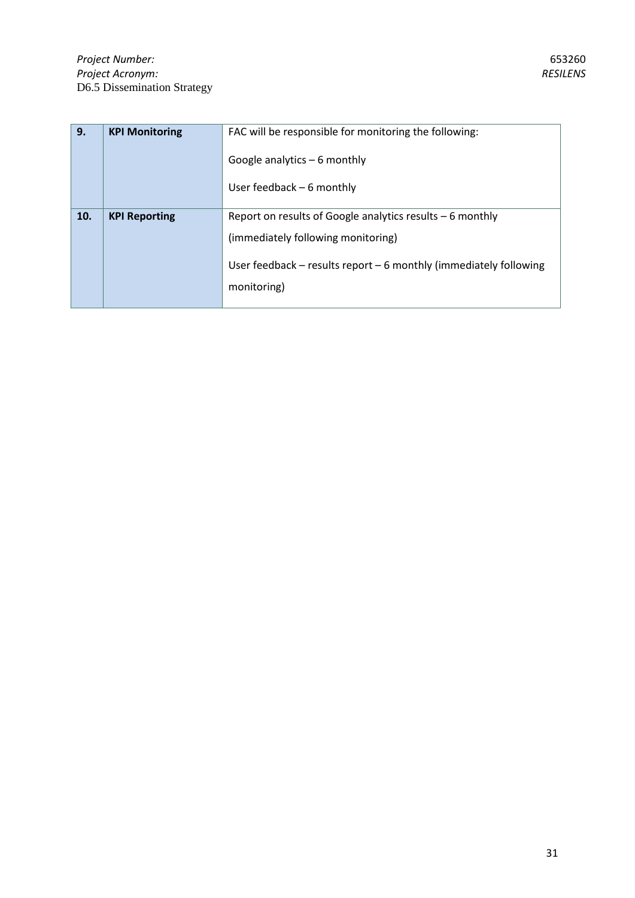| 9.  | <b>KPI Monitoring</b> | FAC will be responsible for monitoring the following:                 |
|-----|-----------------------|-----------------------------------------------------------------------|
|     |                       | Google analytics $-6$ monthly                                         |
|     |                       | User feedback $-6$ monthly                                            |
| 10. | <b>KPI Reporting</b>  | Report on results of Google analytics results $-6$ monthly            |
|     |                       | (immediately following monitoring)                                    |
|     |                       | User feedback $-$ results report $-$ 6 monthly (immediately following |
|     |                       | monitoring)                                                           |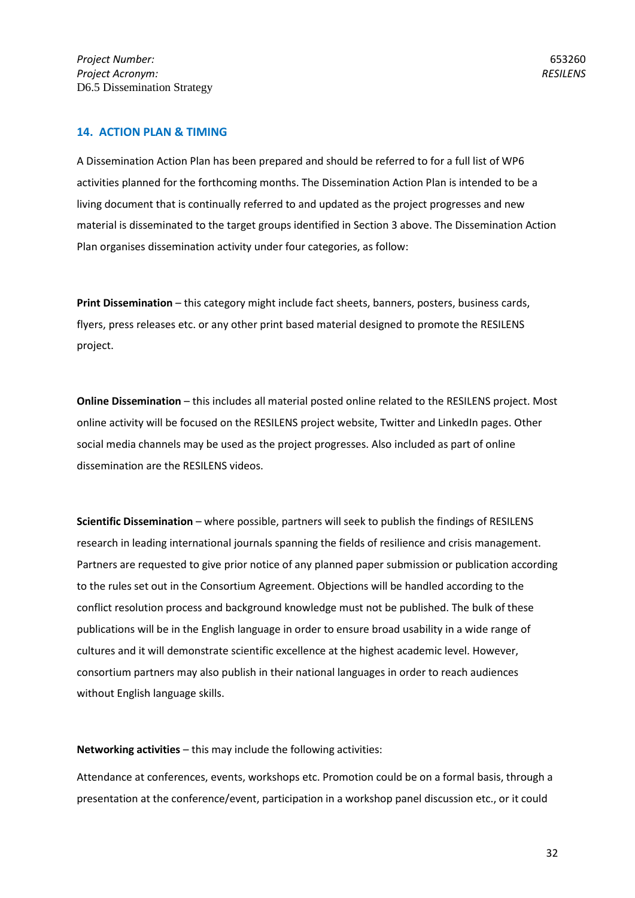## **14. ACTION PLAN & TIMING**

A Dissemination Action Plan has been prepared and should be referred to for a full list of WP6 activities planned for the forthcoming months. The Dissemination Action Plan is intended to be a living document that is continually referred to and updated as the project progresses and new material is disseminated to the target groups identified in Section 3 above. The Dissemination Action Plan organises dissemination activity under four categories, as follow:

**Print Dissemination** – this category might include fact sheets, banners, posters, business cards, flyers, press releases etc. or any other print based material designed to promote the RESILENS project.

**Online Dissemination** – this includes all material posted online related to the RESILENS project. Most online activity will be focused on the RESILENS project website, Twitter and LinkedIn pages. Other social media channels may be used as the project progresses. Also included as part of online dissemination are the RESILENS videos.

**Scientific Dissemination** – where possible, partners will seek to publish the findings of RESILENS research in leading international journals spanning the fields of resilience and crisis management. Partners are requested to give prior notice of any planned paper submission or publication according to the rules set out in the Consortium Agreement. Objections will be handled according to the conflict resolution process and background knowledge must not be published. The bulk of these publications will be in the English language in order to ensure broad usability in a wide range of cultures and it will demonstrate scientific excellence at the highest academic level. However, consortium partners may also publish in their national languages in order to reach audiences without English language skills.

**Networking activities** – this may include the following activities:

Attendance at conferences, events, workshops etc. Promotion could be on a formal basis, through a presentation at the conference/event, participation in a workshop panel discussion etc., or it could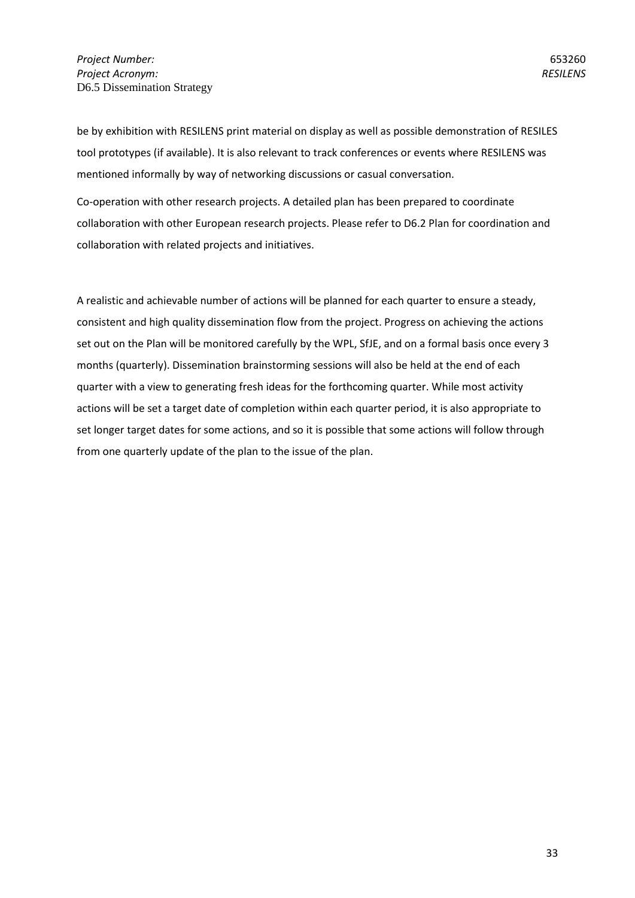be by exhibition with RESILENS print material on display as well as possible demonstration of RESILES tool prototypes (if available). It is also relevant to track conferences or events where RESILENS was mentioned informally by way of networking discussions or casual conversation.

Co-operation with other research projects. A detailed plan has been prepared to coordinate collaboration with other European research projects. Please refer to D6.2 Plan for coordination and collaboration with related projects and initiatives.

A realistic and achievable number of actions will be planned for each quarter to ensure a steady, consistent and high quality dissemination flow from the project. Progress on achieving the actions set out on the Plan will be monitored carefully by the WPL, SfJE, and on a formal basis once every 3 months (quarterly). Dissemination brainstorming sessions will also be held at the end of each quarter with a view to generating fresh ideas for the forthcoming quarter. While most activity actions will be set a target date of completion within each quarter period, it is also appropriate to set longer target dates for some actions, and so it is possible that some actions will follow through from one quarterly update of the plan to the issue of the plan.